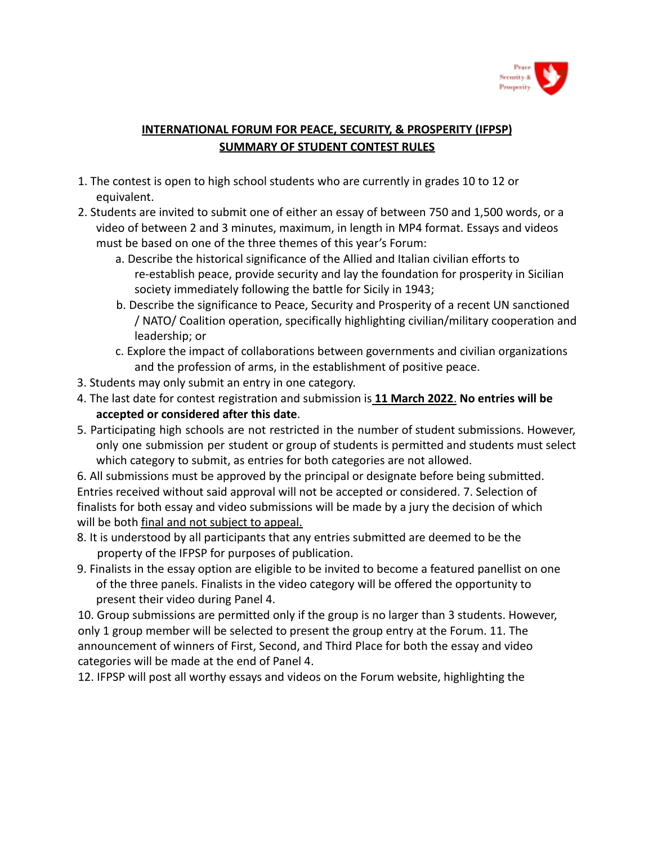

## **INTERNATIONAL FORUM FOR PEACE, SECURITY, & PROSPERITY (IFPSP) SUMMARY OF STUDENT CONTEST RULES**

- 1. The contest is open to high school students who are currently in grades 10 to 12 or equivalent.
- 2. Students are invited to submit one of either an essay of between 750 and 1,500 words, or a video of between 2 and 3 minutes, maximum, in length in MP4 format. Essays and videos must be based on one of the three themes of this year's Forum:
	- a. Describe the historical significance of the Allied and Italian civilian efforts to re-establish peace, provide security and lay the foundation for prosperity in Sicilian society immediately following the battle for Sicily in 1943;
	- b. Describe the significance to Peace, Security and Prosperity of a recent UN sanctioned / NATO/ Coalition operation, specifically highlighting civilian/military cooperation and leadership; or
	- c. Explore the impact of collaborations between governments and civilian organizations and the profession of arms, in the establishment of positive peace.
- 3. Students may only submit an entry in one category.
- 4. The last date for contest registration and submission is **11 March 2022**. **No entries will be accepted or considered after this date**.
- 5. Participating high schools are not restricted in the number of student submissions. However, only one submission per student or group of students is permitted and students must select which category to submit, as entries for both categories are not allowed.

6. All submissions must be approved by the principal or designate before being submitted. Entries received without said approval will not be accepted or considered. 7. Selection of finalists for both essay and video submissions will be made by a jury the decision of which will be both final and not subject to appeal.

- 8. It is understood by all participants that any entries submitted are deemed to be the property of the IFPSP for purposes of publication.
- 9. Finalists in the essay option are eligible to be invited to become a featured panellist on one of the three panels. Finalists in the video category will be offered the opportunity to present their video during Panel 4.

10. Group submissions are permitted only if the group is no larger than 3 students. However, only 1 group member will be selected to present the group entry at the Forum. 11. The announcement of winners of First, Second, and Third Place for both the essay and video categories will be made at the end of Panel 4.

12. IFPSP will post all worthy essays and videos on the Forum website, highlighting the